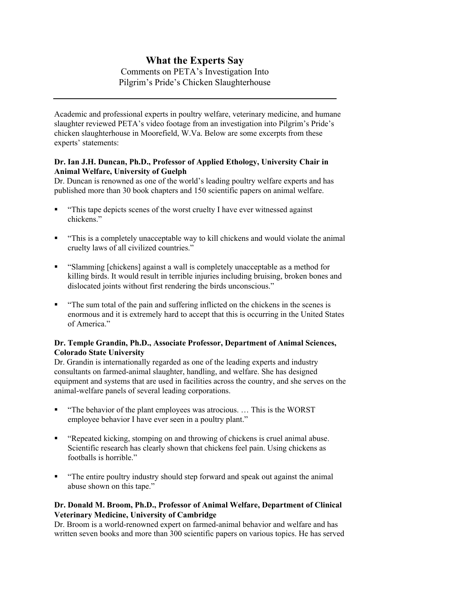# What the Experts Say

# Comments on PETA's Investigation Into Pilgrim's Pride's Chicken Slaughterhouse

Academic and professional experts in poultry welfare, veterinary medicine, and humane slaughter reviewed PETA's video footage from an investigation into Pilgrim's Pride's chicken slaughterhouse in Moorefield, W.Va. Below are some excerpts from these experts' statements:

### Dr. Ian J.H. Duncan, Ph.D., Professor of Applied Ethology, University Chair in Animal Welfare, University of Guelph

Dr. Duncan is renowned as one of the world's leading poultry welfare experts and has published more than 30 book chapters and 150 scientific papers on animal welfare.

- "This tape depicts scenes of the worst cruelty I have ever witnessed against chickens."
- "This is a completely unacceptable way to kill chickens and would violate the animal cruelty laws of all civilized countries."
- "Slamming [chickens] against a wall is completely unacceptable as a method for killing birds. It would result in terrible injuries including bruising, broken bones and dislocated joints without first rendering the birds unconscious."
- "The sum total of the pain and suffering inflicted on the chickens in the scenes is enormous and it is extremely hard to accept that this is occurring in the United States of America."

### Dr. Temple Grandin, Ph.D., Associate Professor, Department of Animal Sciences, Colorado State University

Dr. Grandin is internationally regarded as one of the leading experts and industry consultants on farmed-animal slaughter, handling, and welfare. She has designed equipment and systems that are used in facilities across the country, and she serves on the animal-welfare panels of several leading corporations.

- "The behavior of the plant employees was atrocious. … This is the WORST employee behavior I have ever seen in a poultry plant."
- "Repeated kicking, stomping on and throwing of chickens is cruel animal abuse. Scientific research has clearly shown that chickens feel pain. Using chickens as footballs is horrible."
- "The entire poultry industry should step forward and speak out against the animal abuse shown on this tape."

# Dr. Donald M. Broom, Ph.D., Professor of Animal Welfare, Department of Clinical Veterinary Medicine, University of Cambridge

Dr. Broom is a world-renowned expert on farmed-animal behavior and welfare and has written seven books and more than 300 scientific papers on various topics. He has served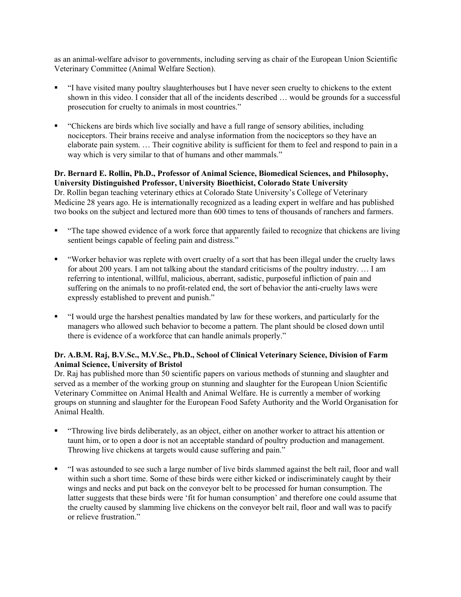as an animal-welfare advisor to governments, including serving as chair of the European Union Scientific Veterinary Committee (Animal Welfare Section).

- "I have visited many poultry slaughterhouses but I have never seen cruelty to chickens to the extent shown in this video. I consider that all of the incidents described … would be grounds for a successful prosecution for cruelty to animals in most countries."
- "Chickens are birds which live socially and have a full range of sensory abilities, including nociceptors. Their brains receive and analyse information from the nociceptors so they have an elaborate pain system. … Their cognitive ability is sufficient for them to feel and respond to pain in a way which is very similar to that of humans and other mammals."

#### Dr. Bernard E. Rollin, Ph.D., Professor of Animal Science, Biomedical Sciences, and Philosophy, University Distinguished Professor, University Bioethicist, Colorado State University Dr. Rollin began teaching veterinary ethics at Colorado State University's College of Veterinary

Medicine 28 years ago. He is internationally recognized as a leading expert in welfare and has published two books on the subject and lectured more than 600 times to tens of thousands of ranchers and farmers.

- "The tape showed evidence of a work force that apparently failed to recognize that chickens are living sentient beings capable of feeling pain and distress."
- "Worker behavior was replete with overt cruelty of a sort that has been illegal under the cruelty laws for about 200 years. I am not talking about the standard criticisms of the poultry industry. … I am referring to intentional, willful, malicious, aberrant, sadistic, purposeful infliction of pain and suffering on the animals to no profit-related end, the sort of behavior the anti-cruelty laws were expressly established to prevent and punish."
- "I would urge the harshest penalties mandated by law for these workers, and particularly for the managers who allowed such behavior to become a pattern. The plant should be closed down until there is evidence of a workforce that can handle animals properly."

# Dr. A.B.M. Raj, B.V.Sc., M.V.Sc., Ph.D., School of Clinical Veterinary Science, Division of Farm Animal Science, University of Bristol

Dr. Raj has published more than 50 scientific papers on various methods of stunning and slaughter and served as a member of the working group on stunning and slaughter for the European Union Scientific Veterinary Committee on Animal Health and Animal Welfare. He is currently a member of working groups on stunning and slaughter for the European Food Safety Authority and the World Organisation for Animal Health.

- "Throwing live birds deliberately, as an object, either on another worker to attract his attention or taunt him, or to open a door is not an acceptable standard of poultry production and management. Throwing live chickens at targets would cause suffering and pain."
- "I was astounded to see such a large number of live birds slammed against the belt rail, floor and wall within such a short time. Some of these birds were either kicked or indiscriminately caught by their wings and necks and put back on the conveyor belt to be processed for human consumption. The latter suggests that these birds were 'fit for human consumption' and therefore one could assume that the cruelty caused by slamming live chickens on the conveyor belt rail, floor and wall was to pacify or relieve frustration."